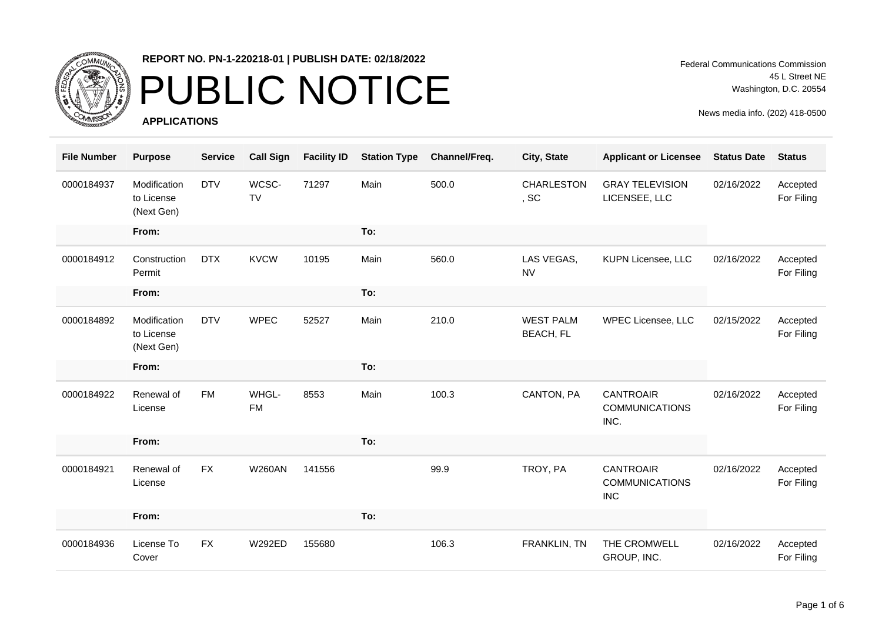

### PUBLIC NOTICE

**APPLICATIONS**

Federal Communications Commission 45 L Street NE Washington, D.C. 20554

| <b>File Number</b> | <b>Purpose</b>                           | <b>Service</b> | <b>Call Sign</b>   | <b>Facility ID</b> | <b>Station Type</b> | Channel/Freq. | City, State                          | <b>Applicant or Licensee</b>                            | <b>Status Date</b> | <b>Status</b>          |
|--------------------|------------------------------------------|----------------|--------------------|--------------------|---------------------|---------------|--------------------------------------|---------------------------------------------------------|--------------------|------------------------|
| 0000184937         | Modification<br>to License<br>(Next Gen) | <b>DTV</b>     | WCSC-<br><b>TV</b> | 71297              | Main                | 500.0         | <b>CHARLESTON</b><br>, SC            | <b>GRAY TELEVISION</b><br>LICENSEE, LLC                 | 02/16/2022         | Accepted<br>For Filing |
|                    | From:                                    |                |                    |                    | To:                 |               |                                      |                                                         |                    |                        |
| 0000184912         | Construction<br>Permit                   | <b>DTX</b>     | <b>KVCW</b>        | 10195              | Main                | 560.0         | LAS VEGAS,<br><b>NV</b>              | <b>KUPN Licensee, LLC</b>                               | 02/16/2022         | Accepted<br>For Filing |
|                    | From:                                    |                |                    |                    | To:                 |               |                                      |                                                         |                    |                        |
| 0000184892         | Modification<br>to License<br>(Next Gen) | <b>DTV</b>     | <b>WPEC</b>        | 52527              | Main                | 210.0         | <b>WEST PALM</b><br><b>BEACH, FL</b> | WPEC Licensee, LLC                                      | 02/15/2022         | Accepted<br>For Filing |
|                    | From:                                    |                |                    |                    | To:                 |               |                                      |                                                         |                    |                        |
| 0000184922         | Renewal of<br>License                    | <b>FM</b>      | WHGL-<br><b>FM</b> | 8553               | Main                | 100.3         | CANTON, PA                           | <b>CANTROAIR</b><br><b>COMMUNICATIONS</b><br>INC.       | 02/16/2022         | Accepted<br>For Filing |
|                    | From:                                    |                |                    |                    | To:                 |               |                                      |                                                         |                    |                        |
| 0000184921         | Renewal of<br>License                    | <b>FX</b>      | <b>W260AN</b>      | 141556             |                     | 99.9          | TROY, PA                             | <b>CANTROAIR</b><br><b>COMMUNICATIONS</b><br><b>INC</b> | 02/16/2022         | Accepted<br>For Filing |
|                    | From:                                    |                |                    |                    | To:                 |               |                                      |                                                         |                    |                        |
| 0000184936         | License To<br>Cover                      | <b>FX</b>      | <b>W292ED</b>      | 155680             |                     | 106.3         | FRANKLIN, TN                         | THE CROMWELL<br>GROUP, INC.                             | 02/16/2022         | Accepted<br>For Filing |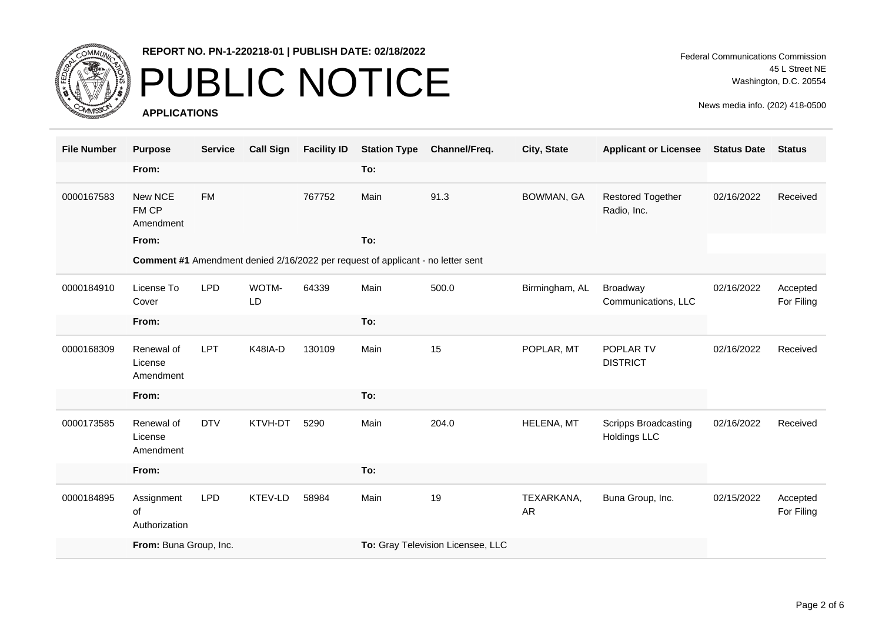

# PUBLIC NOTICE

**APPLICATIONS**

| <b>File Number</b> | <b>Purpose</b>                     | <b>Service</b> | <b>Call Sign</b> | <b>Facility ID</b> | <b>Station Type</b>               | Channel/Freq. | City, State             | <b>Applicant or Licensee</b>                | <b>Status Date</b> | <b>Status</b>          |
|--------------------|------------------------------------|----------------|------------------|--------------------|-----------------------------------|---------------|-------------------------|---------------------------------------------|--------------------|------------------------|
|                    | From:                              |                |                  |                    | To:                               |               |                         |                                             |                    |                        |
| 0000167583         | New NCE<br>FM CP<br>Amendment      | <b>FM</b>      |                  | 767752             | Main                              | 91.3          | <b>BOWMAN, GA</b>       | <b>Restored Together</b><br>Radio, Inc.     | 02/16/2022         | Received               |
|                    | From:                              |                |                  |                    | To:                               |               |                         |                                             |                    |                        |
|                    |                                    |                |                  |                    |                                   |               |                         |                                             |                    |                        |
| 0000184910         | License To<br>Cover                | <b>LPD</b>     | WOTM-<br>LD      | 64339              | Main                              | 500.0         | Birmingham, AL          | <b>Broadway</b><br>Communications, LLC      | 02/16/2022         | Accepted<br>For Filing |
|                    | From:                              |                |                  |                    | To:                               |               |                         |                                             |                    |                        |
| 0000168309         | Renewal of<br>License<br>Amendment | LPT            | K48IA-D          | 130109             | Main                              | 15            | POPLAR, MT              | POPLAR TV<br><b>DISTRICT</b>                | 02/16/2022         | Received               |
|                    | From:                              |                |                  |                    | To:                               |               |                         |                                             |                    |                        |
| 0000173585         | Renewal of<br>License<br>Amendment | <b>DTV</b>     | KTVH-DT          | 5290               | Main                              | 204.0         | HELENA, MT              | Scripps Broadcasting<br><b>Holdings LLC</b> | 02/16/2022         | Received               |
|                    | From:                              |                |                  |                    | To:                               |               |                         |                                             |                    |                        |
| 0000184895         | Assignment<br>of<br>Authorization  | <b>LPD</b>     | KTEV-LD          | 58984              | Main                              | 19            | TEXARKANA,<br><b>AR</b> | Buna Group, Inc.                            | 02/15/2022         | Accepted<br>For Filing |
|                    | From: Buna Group, Inc.             |                |                  |                    | To: Gray Television Licensee, LLC |               |                         |                                             |                    |                        |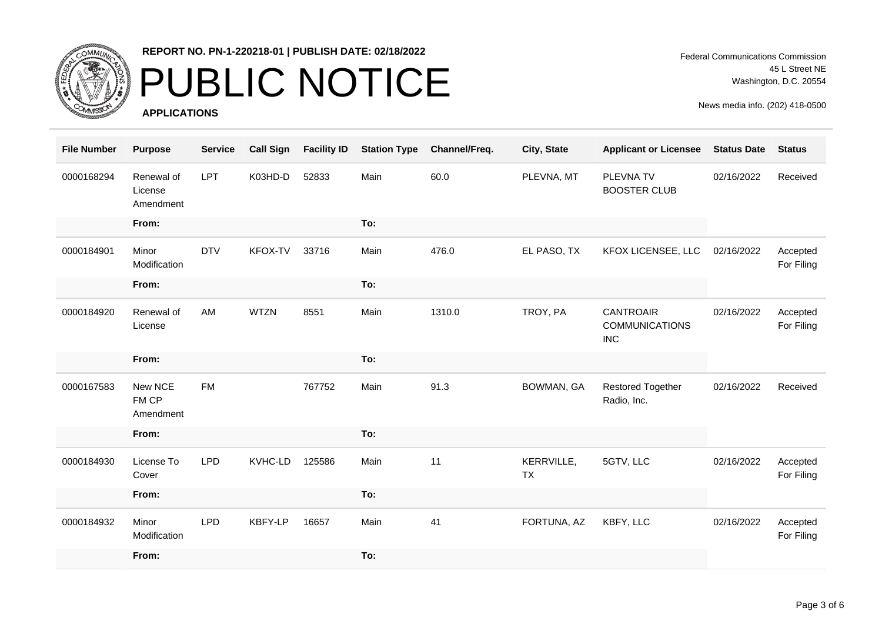

### PUBLIC NOTICE

**APPLICATIONS**

Federal Communications Commission 45 L Street NE Washington, D.C. 20554

| <b>File Number</b> | <b>Purpose</b>                     | <b>Service</b> | <b>Call Sign</b> | <b>Facility ID</b> | <b>Station Type</b> | Channel/Freq. | City, State             | <b>Applicant or Licensee</b>                            | <b>Status Date</b> | <b>Status</b>          |
|--------------------|------------------------------------|----------------|------------------|--------------------|---------------------|---------------|-------------------------|---------------------------------------------------------|--------------------|------------------------|
| 0000168294         | Renewal of<br>License<br>Amendment | <b>LPT</b>     | K03HD-D          | 52833              | Main                | 60.0          | PLEVNA, MT              | PLEVNA TV<br><b>BOOSTER CLUB</b>                        | 02/16/2022         | Received               |
|                    | From:                              |                |                  |                    | To:                 |               |                         |                                                         |                    |                        |
| 0000184901         | Minor<br>Modification              | <b>DTV</b>     | KFOX-TV          | 33716              | Main                | 476.0         | EL PASO, TX             | KFOX LICENSEE, LLC                                      | 02/16/2022         | Accepted<br>For Filing |
|                    | From:                              |                |                  |                    | To:                 |               |                         |                                                         |                    |                        |
| 0000184920         | Renewal of<br>License              | AM             | <b>WTZN</b>      | 8551               | Main                | 1310.0        | TROY, PA                | <b>CANTROAIR</b><br><b>COMMUNICATIONS</b><br><b>INC</b> | 02/16/2022         | Accepted<br>For Filing |
|                    | From:                              |                |                  |                    | To:                 |               |                         |                                                         |                    |                        |
| 0000167583         | New NCE<br>FM CP<br>Amendment      | <b>FM</b>      |                  | 767752             | Main                | 91.3          | <b>BOWMAN, GA</b>       | <b>Restored Together</b><br>Radio, Inc.                 | 02/16/2022         | Received               |
|                    | From:                              |                |                  |                    | To:                 |               |                         |                                                         |                    |                        |
| 0000184930         | License To<br>Cover                | <b>LPD</b>     | KVHC-LD          | 125586             | Main                | 11            | KERRVILLE,<br><b>TX</b> | 5GTV, LLC                                               | 02/16/2022         | Accepted<br>For Filing |
|                    | From:                              |                |                  |                    | To:                 |               |                         |                                                         |                    |                        |
| 0000184932         | Minor<br>Modification              | <b>LPD</b>     | KBFY-LP          | 16657              | Main                | 41            | FORTUNA, AZ             | KBFY, LLC                                               | 02/16/2022         | Accepted<br>For Filing |
|                    | From:                              |                |                  |                    | To:                 |               |                         |                                                         |                    |                        |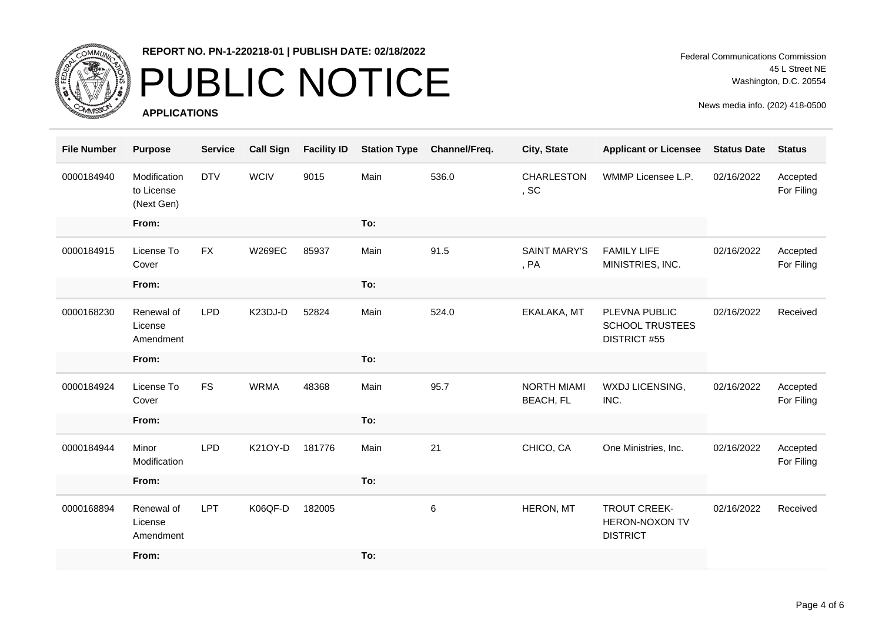

# PUBLIC NOTICE

**APPLICATIONS**

Federal Communications Commission 45 L Street NE Washington, D.C. 20554

| <b>File Number</b> | <b>Purpose</b>                           | <b>Service</b> | <b>Call Sign</b> | <b>Facility ID</b> | <b>Station Type</b> | Channel/Freq. | City, State                            | <b>Applicant or Licensee</b>                                   | <b>Status Date</b> | <b>Status</b>          |
|--------------------|------------------------------------------|----------------|------------------|--------------------|---------------------|---------------|----------------------------------------|----------------------------------------------------------------|--------------------|------------------------|
| 0000184940         | Modification<br>to License<br>(Next Gen) | <b>DTV</b>     | <b>WCIV</b>      | 9015               | Main                | 536.0         | CHARLESTON<br>, SC                     | WMMP Licensee L.P.                                             | 02/16/2022         | Accepted<br>For Filing |
|                    | From:                                    |                |                  |                    | To:                 |               |                                        |                                                                |                    |                        |
| 0000184915         | License To<br>Cover                      | <b>FX</b>      | <b>W269EC</b>    | 85937              | Main                | 91.5          | <b>SAINT MARY'S</b><br>, PA            | <b>FAMILY LIFE</b><br>MINISTRIES, INC.                         | 02/16/2022         | Accepted<br>For Filing |
|                    | From:                                    |                |                  |                    | To:                 |               |                                        |                                                                |                    |                        |
| 0000168230         | Renewal of<br>License<br>Amendment       | <b>LPD</b>     | K23DJ-D          | 52824              | Main                | 524.0         | EKALAKA, MT                            | PLEVNA PUBLIC<br><b>SCHOOL TRUSTEES</b><br><b>DISTRICT #55</b> | 02/16/2022         | Received               |
|                    | From:                                    |                |                  |                    | To:                 |               |                                        |                                                                |                    |                        |
| 0000184924         | License To<br>Cover                      | <b>FS</b>      | <b>WRMA</b>      | 48368              | Main                | 95.7          | <b>NORTH MIAMI</b><br><b>BEACH, FL</b> | WXDJ LICENSING,<br>INC.                                        | 02/16/2022         | Accepted<br>For Filing |
|                    | From:                                    |                |                  |                    | To:                 |               |                                        |                                                                |                    |                        |
| 0000184944         | Minor<br>Modification                    | <b>LPD</b>     | K21OY-D          | 181776             | Main                | 21            | CHICO, CA                              | One Ministries, Inc.                                           | 02/16/2022         | Accepted<br>For Filing |
|                    | From:                                    |                |                  |                    | To:                 |               |                                        |                                                                |                    |                        |
| 0000168894         | Renewal of<br>License<br>Amendment       | <b>LPT</b>     | K06QF-D          | 182005             |                     | 6             | HERON, MT                              | <b>TROUT CREEK-</b><br>HERON-NOXON TV<br><b>DISTRICT</b>       | 02/16/2022         | Received               |
|                    | From:                                    |                |                  |                    | To:                 |               |                                        |                                                                |                    |                        |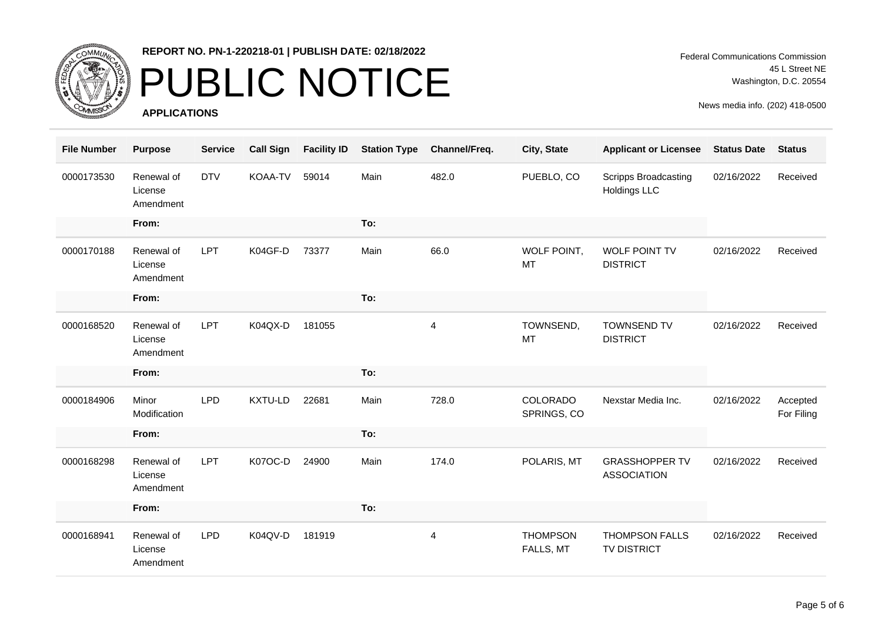

### PUBLIC NOTICE

**APPLICATIONS**

| <b>File Number</b> | <b>Purpose</b>                     | <b>Service</b> | <b>Call Sign</b> | <b>Facility ID</b> | <b>Station Type</b> | Channel/Freq.  | City, State                    | <b>Applicant or Licensee</b>                       | <b>Status Date</b> | <b>Status</b>          |
|--------------------|------------------------------------|----------------|------------------|--------------------|---------------------|----------------|--------------------------------|----------------------------------------------------|--------------------|------------------------|
| 0000173530         | Renewal of<br>License<br>Amendment | <b>DTV</b>     | <b>KOAA-TV</b>   | 59014              | Main                | 482.0          | PUEBLO, CO                     | <b>Scripps Broadcasting</b><br><b>Holdings LLC</b> | 02/16/2022         | Received               |
|                    | From:                              |                |                  |                    | To:                 |                |                                |                                                    |                    |                        |
| 0000170188         | Renewal of<br>License<br>Amendment | <b>LPT</b>     | K04GF-D          | 73377              | Main                | 66.0           | WOLF POINT,<br>MT              | WOLF POINT TV<br><b>DISTRICT</b>                   | 02/16/2022         | Received               |
|                    | From:                              |                |                  |                    | To:                 |                |                                |                                                    |                    |                        |
| 0000168520         | Renewal of<br>License<br>Amendment | <b>LPT</b>     | K04QX-D          | 181055             |                     | 4              | TOWNSEND,<br><b>MT</b>         | <b>TOWNSEND TV</b><br><b>DISTRICT</b>              | 02/16/2022         | Received               |
|                    | From:                              |                |                  |                    | To:                 |                |                                |                                                    |                    |                        |
| 0000184906         | Minor<br>Modification              | <b>LPD</b>     | KXTU-LD          | 22681              | Main                | 728.0          | <b>COLORADO</b><br>SPRINGS, CO | Nexstar Media Inc.                                 | 02/16/2022         | Accepted<br>For Filing |
|                    | From:                              |                |                  |                    | To:                 |                |                                |                                                    |                    |                        |
| 0000168298         | Renewal of<br>License<br>Amendment | <b>LPT</b>     | K07OC-D          | 24900              | Main                | 174.0          | POLARIS, MT                    | <b>GRASSHOPPER TV</b><br><b>ASSOCIATION</b>        | 02/16/2022         | Received               |
|                    | From:                              |                |                  |                    | To:                 |                |                                |                                                    |                    |                        |
| 0000168941         | Renewal of<br>License<br>Amendment | <b>LPD</b>     | K04QV-D          | 181919             |                     | $\overline{4}$ | <b>THOMPSON</b><br>FALLS, MT   | <b>THOMPSON FALLS</b><br>TV DISTRICT               | 02/16/2022         | Received               |